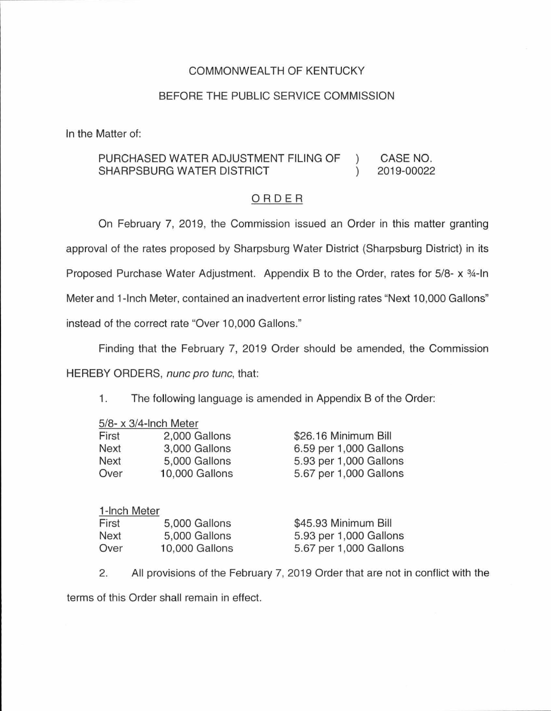## COMMONWEALTH OF KENTUCKY

## BEFORE THE PUBLIC SERVICE COMMISSION

In the Matter of:

## PURCHASED WATER ADJUSTMENT FILING OF CASE NO.  $\lambda$ 2019-00022 SHARPSBURG WATER DISTRICT  $\lambda$

## ORDER

On February 7, 2019, the Commission issued an Order in this matter granting approval of the rates proposed by Sharpsburg Water District (Sharpsburg District) in its Proposed Purchase Water Adjustment. Appendix B to the Order, rates for 5/8- x 3/4-In Meter and 1-lnch Meter, contained an inadvertent error listing rates "Next 10,000 Gallons" instead of the correct rate "Over 10,000 Gallons."

Finding that the February 7, 2019 Order should be amended, the Commission HEREBY ORDERS, nunc pro tunc, that:

1. The following language is amended in Appendix B of the Order:

|       | $5/8$ - x $3/4$ -Inch Meter |                        |
|-------|-----------------------------|------------------------|
| First | 2,000 Gallons               | \$26.16 Minimum Bill   |
| Next  | 3,000 Gallons               | 6.59 per 1,000 Gallons |
| Next  | 5,000 Gallons               | 5.93 per 1,000 Gallons |
| Over  | 10,000 Gallons              | 5.67 per 1,000 Gallons |

| 1-Inch Meter |                |                        |
|--------------|----------------|------------------------|
| First        | 5,000 Gallons  | \$45.93 Minimum Bill   |
| Next         | 5,000 Gallons  | 5.93 per 1,000 Gallons |
| Over         | 10,000 Gallons | 5.67 per 1,000 Gallons |

2. All provisions of the February 7, 2019 Order that are not in conflict with the terms of this Order shall remain in effect.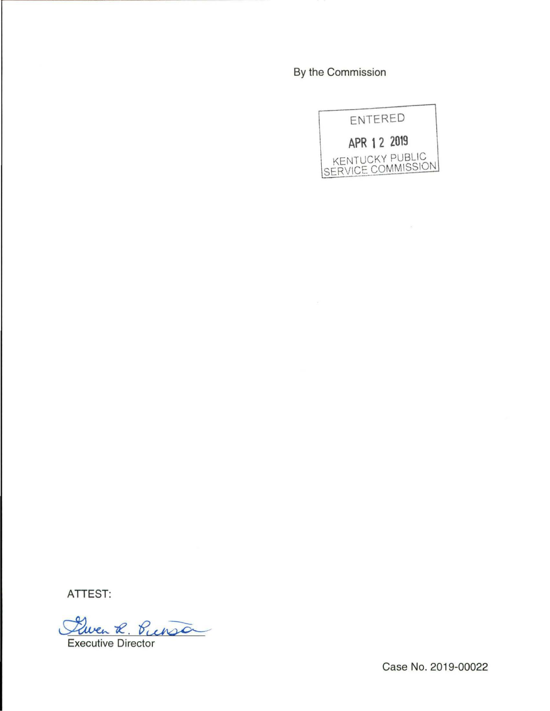By the Commission



ATTEST:

Quen R. Punsa

Case No. 2019-00022